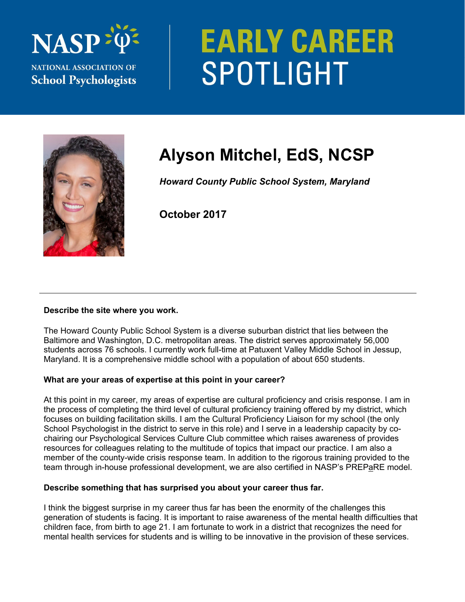

# **EARLY CAREER** SPOTLIGHT



## **Alyson Mitchel, EdS, NCSP**

*Howard County Public School System, Maryland* 

**October 2017** 

#### **Describe the site where you work.**

The Howard County Public School System is a diverse suburban district that lies between the Baltimore and Washington, D.C. metropolitan areas. The district serves approximately 56,000 students across 76 schools. I currently work full-time at Patuxent Valley Middle School in Jessup, Maryland. It is a comprehensive middle school with a population of about 650 students.

### **What are your areas of expertise at this point in your career?**

At this point in my career, my areas of expertise are cultural proficiency and crisis response. I am in the process of completing the third level of cultural proficiency training offered by my district, which focuses on building facilitation skills. I am the Cultural Proficiency Liaison for my school (the only School Psychologist in the district to serve in this role) and I serve in a leadership capacity by cochairing our Psychological Services Culture Club committee which raises awareness of provides resources for colleagues relating to the multitude of topics that impact our practice. I am also a member of the county-wide crisis response team. In addition to the rigorous training provided to the team through in-house professional development, we are also certified in NASP's PREPaRE model.

#### **Describe something that has surprised you about your career thus far.**

I think the biggest surprise in my career thus far has been the enormity of the challenges this generation of students is facing. It is important to raise awareness of the mental health difficulties that children face, from birth to age 21. I am fortunate to work in a district that recognizes the need for mental health services for students and is willing to be innovative in the provision of these services.